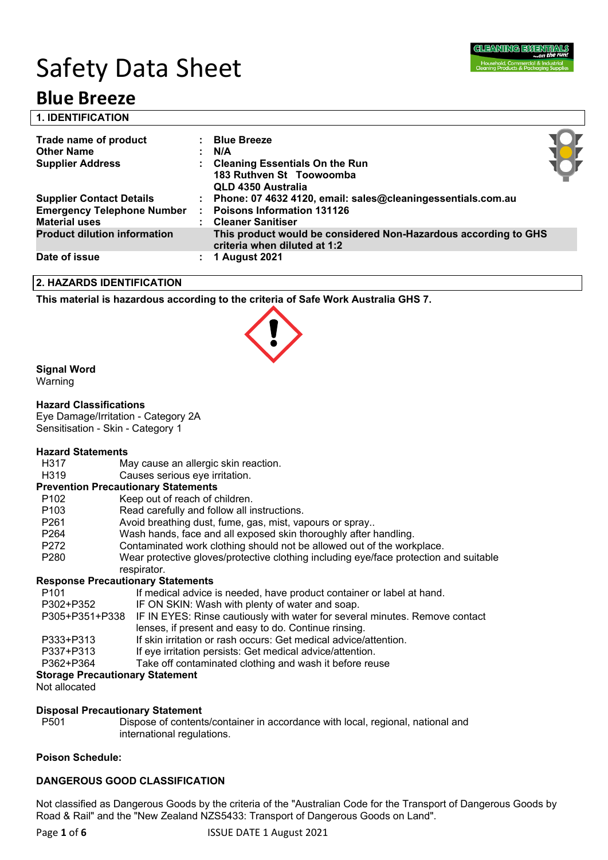# Safety Data Sheet

## **Blue Breeze**

| <b>1. IDENTIFICATION</b>                                  |                                                                                                 |  |
|-----------------------------------------------------------|-------------------------------------------------------------------------------------------------|--|
| Trade name of product                                     | <b>Blue Breeze</b>                                                                              |  |
| <b>Other Name</b>                                         | N/A                                                                                             |  |
| <b>Supplier Address</b>                                   | <b>Cleaning Essentials On the Run</b><br>183 Ruthven St Toowoomba<br>QLD 4350 Australia         |  |
| <b>Supplier Contact Details</b>                           | Phone: 07 4632 4120, email: sales@cleaningessentials.com.au                                     |  |
| <b>Emergency Telephone Number</b><br><b>Material uses</b> | <b>Poisons Information 131126</b><br><b>Cleaner Sanitiser</b>                                   |  |
| <b>Product dilution information</b>                       | This product would be considered Non-Hazardous according to GHS<br>criteria when diluted at 1:2 |  |
| Date of issue                                             | <b>1 August 2021</b>                                                                            |  |

### **2. HAZARDS IDENTIFICATION**

**This material is hazardous according to the criteria of Safe Work Australia GHS 7.**

### **Signal Word**

Warning

### **Hazard Classifications**

Eye Damage/Irritation - Category 2A Sensitisation - Skin - Category 1

## **Hazard Statements**

- H317 May cause an allergic skin reaction.<br>H319 Causes serious eve irritation.
- Causes serious eye irritation.

#### **Prevention Precautionary Statements**

| P <sub>102</sub> | Keep out of reach of children.                                                                       |
|------------------|------------------------------------------------------------------------------------------------------|
| P <sub>103</sub> | Read carefully and follow all instructions.                                                          |
| P <sub>261</sub> | Avoid breathing dust, fume, gas, mist, vapours or spray                                              |
| P <sub>264</sub> | Wash hands, face and all exposed skin thoroughly after handling.                                     |
| P272             | Contaminated work clothing should not be allowed out of the workplace.                               |
| P <sub>280</sub> | Wear protective gloves/protective clothing including eye/face protection and suitable<br>respirator. |
|                  | <b>Response Precautionary Statements</b>                                                             |
| P <sub>101</sub> | If medical advice is needed, have product container or label at hand.                                |
| DOOO LDOEO       |                                                                                                      |

| P <sub>101</sub>                       | If medical advice is needed, have product container or label at hand.                      |  |  |
|----------------------------------------|--------------------------------------------------------------------------------------------|--|--|
| P302+P352                              | IF ON SKIN: Wash with plenty of water and soap.                                            |  |  |
|                                        | P305+P351+P338 IF IN EYES: Rinse cautiously with water for several minutes. Remove contact |  |  |
|                                        | lenses, if present and easy to do. Continue rinsing.                                       |  |  |
| P333+P313                              | If skin irritation or rash occurs: Get medical advice/attention.                           |  |  |
| P337+P313                              | If eye irritation persists: Get medical advice/attention.                                  |  |  |
| P362+P364                              | Take off contaminated clothing and wash it before reuse                                    |  |  |
| <b>Storage Precautionary Statement</b> |                                                                                            |  |  |

Not allocated

#### **Disposal Precautionary Statement**

P501 Dispose of contents/container in accordance with local, regional, national and international regulations.

#### **Poison Schedule:**

#### **DANGEROUS GOOD CLASSIFICATION**

Not classified as Dangerous Goods by the criteria of the "Australian Code for the Transport of Dangerous Goods by Road & Rail" and the "New Zealand NZS5433: Transport of Dangerous Goods on Land".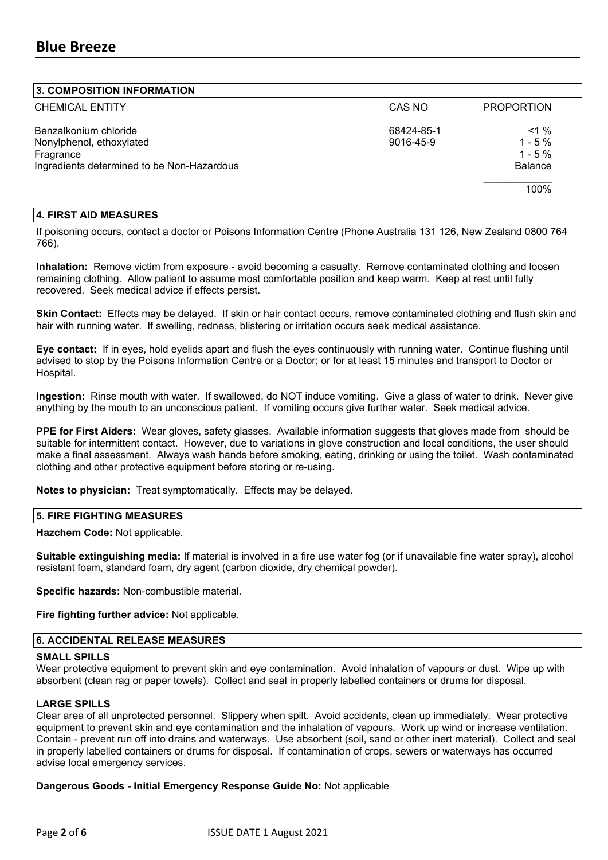#### **3. COMPOSITION INFORMATION**

| <b>CHEMICAL ENTITY</b>                     | CAS NO     | <b>PROPORTION</b> |
|--------------------------------------------|------------|-------------------|
| Benzalkonium chloride                      | 68424-85-1 | $< 1 \%$          |
| Nonylphenol, ethoxylated                   | 9016-45-9  | $1 - 5\%$         |
| Fragrance                                  |            | $1 - 5 \%$        |
| Ingredients determined to be Non-Hazardous |            | <b>Balance</b>    |
|                                            |            | 100%              |
|                                            |            |                   |

#### **4. FIRST AID MEASURES**

If poisoning occurs, contact a doctor or Poisons Information Centre (Phone Australia 131 126, New Zealand 0800 764 766).

**Inhalation:** Remove victim from exposure - avoid becoming a casualty. Remove contaminated clothing and loosen remaining clothing. Allow patient to assume most comfortable position and keep warm. Keep at rest until fully recovered. Seek medical advice if effects persist.

**Skin Contact:** Effects may be delayed. If skin or hair contact occurs, remove contaminated clothing and flush skin and hair with running water. If swelling, redness, blistering or irritation occurs seek medical assistance.

**Eye contact:** If in eyes, hold eyelids apart and flush the eyes continuously with running water. Continue flushing until advised to stop by the Poisons Information Centre or a Doctor; or for at least 15 minutes and transport to Doctor or Hospital.

**Ingestion:** Rinse mouth with water. If swallowed, do NOT induce vomiting. Give a glass of water to drink. Never give anything by the mouth to an unconscious patient. If vomiting occurs give further water. Seek medical advice.

**PPE for First Aiders:** Wear gloves, safety glasses. Available information suggests that gloves made from should be suitable for intermittent contact. However, due to variations in glove construction and local conditions, the user should make a final assessment. Always wash hands before smoking, eating, drinking or using the toilet. Wash contaminated clothing and other protective equipment before storing or re-using.

**Notes to physician:** Treat symptomatically. Effects may be delayed.

#### **5. FIRE FIGHTING MEASURES**

#### **Hazchem Code:** Not applicable.

**Suitable extinguishing media:** If material is involved in a fire use water fog (or if unavailable fine water spray), alcohol resistant foam, standard foam, dry agent (carbon dioxide, dry chemical powder).

**Specific hazards:** Non-combustible material.

**Fire fighting further advice:** Not applicable.

#### **6. ACCIDENTAL RELEASE MEASURES**

#### **SMALL SPILLS**

Wear protective equipment to prevent skin and eye contamination. Avoid inhalation of vapours or dust. Wipe up with absorbent (clean rag or paper towels). Collect and seal in properly labelled containers or drums for disposal.

#### **LARGE SPILLS**

Clear area of all unprotected personnel. Slippery when spilt. Avoid accidents, clean up immediately. Wear protective equipment to prevent skin and eye contamination and the inhalation of vapours. Work up wind or increase ventilation. Contain - prevent run off into drains and waterways. Use absorbent (soil, sand or other inert material). Collect and seal in properly labelled containers or drums for disposal. If contamination of crops, sewers or waterways has occurred advise local emergency services.

**Dangerous Goods - Initial Emergency Response Guide No:** Not applicable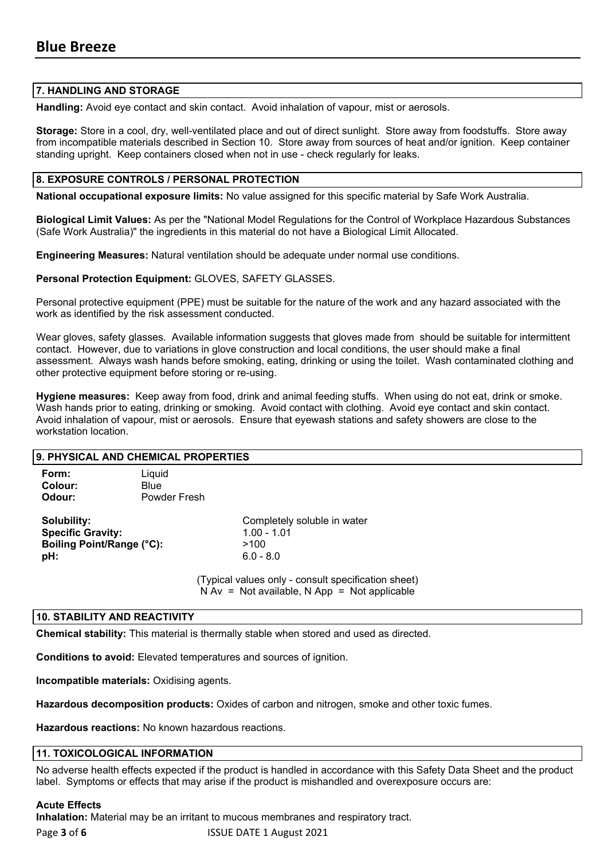#### **7. HANDLING AND STORAGE**

**Handling:** Avoid eye contact and skin contact. Avoid inhalation of vapour, mist or aerosols.

**Storage:** Store in a cool, dry, well-ventilated place and out of direct sunlight. Store away from foodstuffs. Store away from incompatible materials described in Section 10. Store away from sources of heat and/or ignition. Keep container standing upright. Keep containers closed when not in use - check regularly for leaks.

#### **8. EXPOSURE CONTROLS / PERSONAL PROTECTION**

**National occupational exposure limits:** No value assigned for this specific material by Safe Work Australia.

**Biological Limit Values:** As per the "National Model Regulations for the Control of Workplace Hazardous Substances (Safe Work Australia)" the ingredients in this material do not have a Biological Limit Allocated.

**Engineering Measures:** Natural ventilation should be adequate under normal use conditions.

**Personal Protection Equipment:** GLOVES, SAFETY GLASSES.

Personal protective equipment (PPE) must be suitable for the nature of the work and any hazard associated with the work as identified by the risk assessment conducted.

Wear gloves, safety glasses. Available information suggests that gloves made from should be suitable for intermittent contact. However, due to variations in glove construction and local conditions, the user should make a final assessment. Always wash hands before smoking, eating, drinking or using the toilet. Wash contaminated clothing and other protective equipment before storing or re-using.

**Hygiene measures:** Keep away from food, drink and animal feeding stuffs. When using do not eat, drink or smoke. Wash hands prior to eating, drinking or smoking. Avoid contact with clothing. Avoid eye contact and skin contact. Avoid inhalation of vapour, mist or aerosols. Ensure that eyewash stations and safety showers are close to the workstation location.

| 9. PHYSICAL AND CHEMICAL PROPERTIES                                         |              |                                                                                                                                                                              |
|-----------------------------------------------------------------------------|--------------|------------------------------------------------------------------------------------------------------------------------------------------------------------------------------|
| Form:                                                                       | Liquid       |                                                                                                                                                                              |
| Colour:                                                                     | Blue         |                                                                                                                                                                              |
| Odour:                                                                      | Powder Fresh |                                                                                                                                                                              |
| Solubility:<br><b>Specific Gravity:</b><br>Boiling Point/Range (°C):<br>pH: |              | Completely soluble in water<br>$1.00 - 1.01$<br>>100<br>$6.0 - 8.0$<br>(Typical values only - consult specification sheet)<br>$N Av = Not available, N App = Not applicable$ |

#### **10. STABILITY AND REACTIVITY**

**Chemical stability:** This material is thermally stable when stored and used as directed.

**Conditions to avoid:** Elevated temperatures and sources of ignition.

**Incompatible materials:** Oxidising agents.

**Hazardous decomposition products:** Oxides of carbon and nitrogen, smoke and other toxic fumes.

**Hazardous reactions:** No known hazardous reactions.

#### **11. TOXICOLOGICAL INFORMATION**

No adverse health effects expected if the product is handled in accordance with this Safety Data Sheet and the product label. Symptoms or effects that may arise if the product is mishandled and overexposure occurs are:

#### **Acute Effects**

**Inhalation:** Material may be an irritant to mucous membranes and respiratory tract.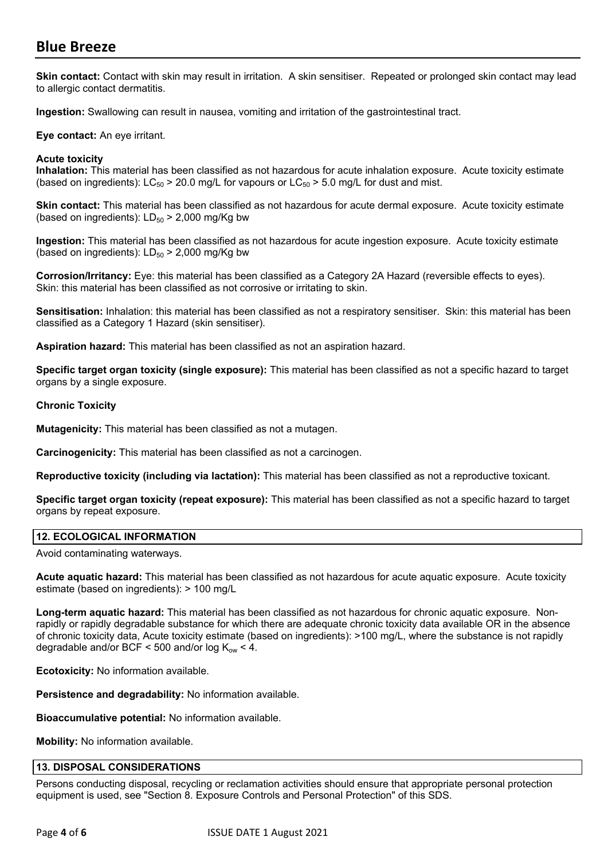## **Blue Breeze**

**Skin contact:** Contact with skin may result in irritation. A skin sensitiser. Repeated or prolonged skin contact may lead to allergic contact dermatitis.

**Ingestion:** Swallowing can result in nausea, vomiting and irritation of the gastrointestinal tract.

**Eye contact:** An eye irritant.

#### **Acute toxicity**

**Inhalation:** This material has been classified as not hazardous for acute inhalation exposure. Acute toxicity estimate (based on ingredients):  $LC_{50}$  > 20.0 mg/L for vapours or  $LC_{50}$  > 5.0 mg/L for dust and mist.

**Skin contact:** This material has been classified as not hazardous for acute dermal exposure. Acute toxicity estimate (based on ingredients):  $LD_{50}$  > 2,000 mg/Kg bw

**Ingestion:** This material has been classified as not hazardous for acute ingestion exposure. Acute toxicity estimate (based on ingredients):  $LD_{50}$  > 2,000 mg/Kg bw

**Corrosion/Irritancy:** Eye: this material has been classified as a Category 2A Hazard (reversible effects to eyes). Skin: this material has been classified as not corrosive or irritating to skin.

**Sensitisation:** Inhalation: this material has been classified as not a respiratory sensitiser. Skin: this material has been classified as a Category 1 Hazard (skin sensitiser).

**Aspiration hazard:** This material has been classified as not an aspiration hazard.

**Specific target organ toxicity (single exposure):** This material has been classified as not a specific hazard to target organs by a single exposure.

#### **Chronic Toxicity**

**Mutagenicity:** This material has been classified as not a mutagen.

**Carcinogenicity:** This material has been classified as not a carcinogen.

**Reproductive toxicity (including via lactation):** This material has been classified as not a reproductive toxicant.

**Specific target organ toxicity (repeat exposure):** This material has been classified as not a specific hazard to target organs by repeat exposure.

### **12. ECOLOGICAL INFORMATION**

Avoid contaminating waterways.

**Acute aquatic hazard:** This material has been classified as not hazardous for acute aquatic exposure. Acute toxicity estimate (based on ingredients): > 100 mg/L

**Long-term aquatic hazard:** This material has been classified as not hazardous for chronic aquatic exposure. Nonrapidly or rapidly degradable substance for which there are adequate chronic toxicity data available OR in the absence of chronic toxicity data, Acute toxicity estimate (based on ingredients): >100 mg/L, where the substance is not rapidly degradable and/or BCF < 500 and/or  $log K_{ow}$  < 4.

**Ecotoxicity:** No information available.

**Persistence and degradability:** No information available.

**Bioaccumulative potential:** No information available.

**Mobility:** No information available.

#### **13. DISPOSAL CONSIDERATIONS**

Persons conducting disposal, recycling or reclamation activities should ensure that appropriate personal protection equipment is used, see "Section 8. Exposure Controls and Personal Protection" of this SDS.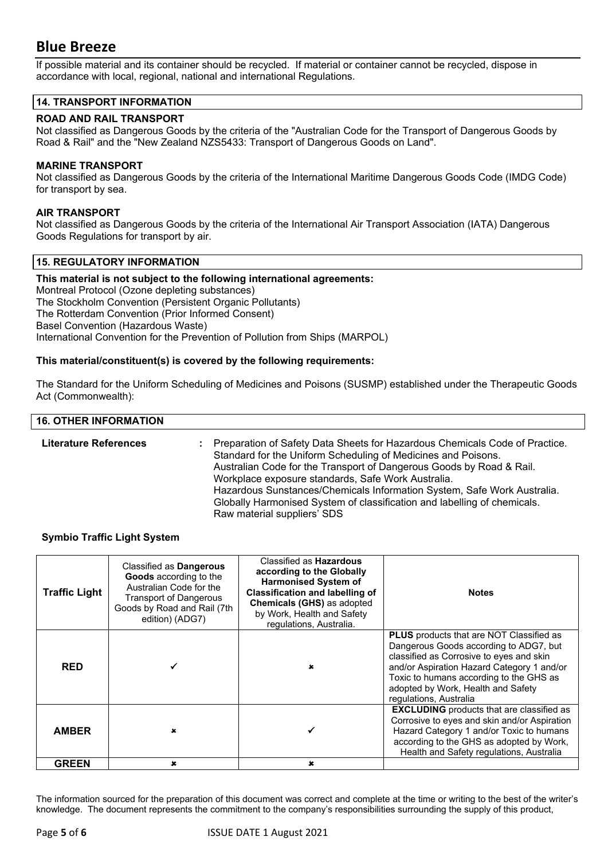## **Blue Breeze**

If possible material and its container should be recycled. If material or container cannot be recycled, dispose in accordance with local, regional, national and international Regulations.

#### **14. TRANSPORT INFORMATION**

#### **ROAD AND RAIL TRANSPORT**

Not classified as Dangerous Goods by the criteria of the "Australian Code for the Transport of Dangerous Goods by Road & Rail" and the "New Zealand NZS5433: Transport of Dangerous Goods on Land".

#### **MARINE TRANSPORT**

Not classified as Dangerous Goods by the criteria of the International Maritime Dangerous Goods Code (IMDG Code) for transport by sea.

#### **AIR TRANSPORT**

Not classified as Dangerous Goods by the criteria of the International Air Transport Association (IATA) Dangerous Goods Regulations for transport by air.

#### **15. REGULATORY INFORMATION**

**This material is not subject to the following international agreements:** Montreal Protocol (Ozone depleting substances) The Stockholm Convention (Persistent Organic Pollutants) The Rotterdam Convention (Prior Informed Consent) Basel Convention (Hazardous Waste) International Convention for the Prevention of Pollution from Ships (MARPOL)

#### **This material/constituent(s) is covered by the following requirements:**

The Standard for the Uniform Scheduling of Medicines and Poisons (SUSMP) established under the Therapeutic Goods Act (Commonwealth):

#### **16. OTHER INFORMATION**

**Literature References :** Preparation of Safety Data Sheets for Hazardous Chemicals Code of Practice. Standard for the Uniform Scheduling of Medicines and Poisons. Australian Code for the Transport of Dangerous Goods by Road & Rail. Workplace exposure standards, Safe Work Australia. Hazardous Sunstances/Chemicals Information System, Safe Work Australia. Globally Harmonised System of classification and labelling of chemicals. Raw material suppliers' SDS

#### **Symbio Traffic Light System**

| <b>Traffic Light</b> | Classified as <b>Dangerous</b><br>Goods according to the<br>Australian Code for the<br><b>Transport of Dangerous</b><br>Goods by Road and Rail (7th<br>edition) (ADG7) | Classified as <b>Hazardous</b><br>according to the Globally<br><b>Harmonised System of</b><br><b>Classification and labelling of</b><br><b>Chemicals (GHS) as adopted</b><br>by Work, Health and Safety<br>regulations, Australia. | <b>Notes</b>                                                                                                                                                                                                                                                                                   |
|----------------------|------------------------------------------------------------------------------------------------------------------------------------------------------------------------|------------------------------------------------------------------------------------------------------------------------------------------------------------------------------------------------------------------------------------|------------------------------------------------------------------------------------------------------------------------------------------------------------------------------------------------------------------------------------------------------------------------------------------------|
| <b>RED</b>           |                                                                                                                                                                        |                                                                                                                                                                                                                                    | <b>PLUS</b> products that are NOT Classified as<br>Dangerous Goods according to ADG7, but<br>classified as Corrosive to eyes and skin<br>and/or Aspiration Hazard Category 1 and/or<br>Toxic to humans according to the GHS as<br>adopted by Work, Health and Safety<br>regulations, Australia |
| <b>AMBER</b>         |                                                                                                                                                                        |                                                                                                                                                                                                                                    | <b>EXCLUDING</b> products that are classified as<br>Corrosive to eyes and skin and/or Aspiration<br>Hazard Category 1 and/or Toxic to humans<br>according to the GHS as adopted by Work,<br>Health and Safety regulations, Australia                                                           |
| <b>GREEN</b>         | $\boldsymbol{\mathsf{x}}$                                                                                                                                              | $\mathbf x$                                                                                                                                                                                                                        |                                                                                                                                                                                                                                                                                                |

The information sourced for the preparation of this document was correct and complete at the time or writing to the best of the writer's knowledge. The document represents the commitment to the company's responsibilities surrounding the supply of this product,